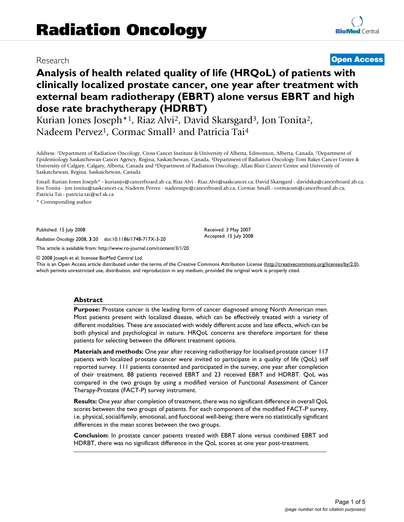# Research **[Open Access](http://www.biomedcentral.com/info/about/charter/)**

# **Analysis of health related quality of life (HRQoL) of patients with clinically localized prostate cancer, one year after treatment with external beam radiotherapy (EBRT) alone versus EBRT and high dose rate brachytherapy (HDRBT)**

Kurian Jones Joseph<sup>\*1</sup>, Riaz Alvi<sup>2</sup>, David Skarsgard<sup>3</sup>, Jon Tonita<sup>2</sup>, Nadeem Pervez<sup>1</sup>, Cormac Small<sup>1</sup> and Patricia Tai<sup>4</sup>

Address: 1Department of Radiation Oncology, Cross Cancer Institute & University of Alberta, Edmonton, Alberta, Canada, 2Department of Epidemiology Saskatchewan Cancer Agency, Regina, Saskatchewan, Canada, 3Department of Radiation Oncology Tom Baker Cancer Center & University of Calgary, Calgary, Alberta, Canada and 4Department of Radiation Oncology, Allan Blair Cancer Centre and University of Saskatchewan, Regina, Saskatchewan, Canada

Email: Kurian Jones Joseph\* - kurianjo@cancerboard.ab.ca; Riaz Alvi - Riaz.Alvi@saskcancer.ca; David Skarsgard - davidska@cancerboard.ab.ca; Jon Tonita - jon.tonita@saskcancer.ca; Nadeem Pervez - nadeempe@cancerboard.ab.ca; Cormac Small - cormacsm@cancerboard.ab.ca; Patricia Tai - patricia.tai@scf.sk.ca

> Received: 3 May 2007 Accepted: 15 July 2008

\* Corresponding author

Published: 15 July 2008

*Radiation Oncology* 2008, **3**:20 doi:10.1186/1748-717X-3-20

[This article is available from: http://www.ro-journal.com/content/3/1/20](http://www.ro-journal.com/content/3/1/20)

© 2008 Joseph et al; licensee BioMed Central Ltd.

This is an Open Access article distributed under the terms of the Creative Commons Attribution License [\(http://creativecommons.org/licenses/by/2.0\)](http://creativecommons.org/licenses/by/2.0), which permits unrestricted use, distribution, and reproduction in any medium, provided the original work is properly cited.

### **Abstract**

**Purpose:** Prostate cancer is the leading form of cancer diagnosed among North American men. Most patients present with localized disease, which can be effectively treated with a variety of different modalities. These are associated with widely different acute and late effects, which can be both physical and psychological in nature. HRQoL concerns are therefore important for these patients for selecting between the different treatment options.

**Materials and methods:** One year after receiving radiotherapy for localised prostate cancer 117 patients with localized prostate cancer were invited to participate in a quality of life (QoL) self reported survey. 111 patients consented and participated in the survey, one year after completion of their treatment. 88 patients received EBRT and 23 received EBRT and HDRBT. QoL was compared in the two groups by using a modified version of Functional Assessment of Cancer Therapy-Prostate (FACT-P) survey instrument.

**Results:** One year after completion of treatment, there was no significant difference in overall QoL scores between the two groups of patients. For each component of the modified FACT-P survey, i.e. physical, social/family, emotional, and functional well-being; there were no statistically significant differences in the mean scores between the two groups.

**Conclusion:** In prostate cancer patients treated with EBRT alone versus combined EBRT and HDRBT, there was no significant difference in the QoL scores at one year post-treatment.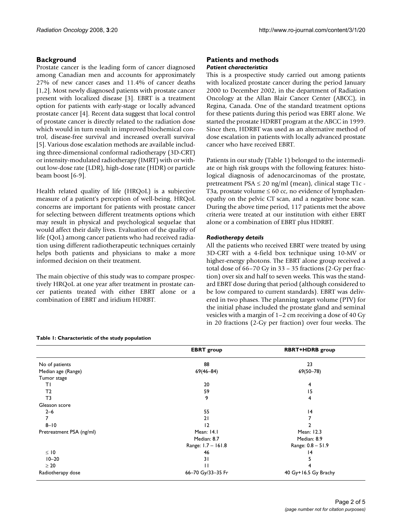# **Background**

Prostate cancer is the leading form of cancer diagnosed among Canadian men and accounts for approximately 27% of new cancer cases and 11.4% of cancer deaths [1,2]. Most newly diagnosed patients with prostate cancer present with localized disease [3]. EBRT is a treatment option for patients with early-stage or locally advanced prostate cancer [4]. Recent data suggest that local control of prostate cancer is directly related to the radiation dose which would in turn result in improved biochemical control, disease-free survival and increased overall survival [5]. Various dose escalation methods are available including three-dimensional conformal radiotherapy (3D-CRT) or intensity-modulated radiotherapy (IMRT) with or without low-dose rate (LDR), high-dose rate (HDR) or particle beam boost [6-9].

Health related quality of life (HRQoL) is a subjective measure of a patient's perception of well-being. HRQoL concerns are important for patients with prostate cancer for selecting between different treatments options which may result in physical and psychological sequelae that would affect their daily lives. Evaluation of the quality of life (QoL) among cancer patients who had received radiation using different radiotherapeutic techniques certainly helps both patients and physicians to make a more informed decision on their treatment.

The main objective of this study was to compare prospectively HRQoL at one year after treatment in prostate cancer patients treated with either EBRT alone or a combination of EBRT and iridium HDRBT.

### **Table 1: Characteristic of the study population**

#### **Patients and methods** *Patient characteristics*

This is a prospective study carried out among patients with localized prostate cancer during the period January 2000 to December 2002, in the department of Radiation Oncology at the Allan Blair Cancer Center (ABCC), in Regina, Canada. One of the standard treatment options for these patients during this period was EBRT alone. We started the prostate HDRBT program at the ABCC in 1999. Since then, HDRBT was used as an alternative method of dose escalation in patients with locally advanced prostate cancer who have received EBRT.

Patients in our study (Table 1) belonged to the intermediate or high risk groups with the following features: histological diagnosis of adenocarcinomas of the prostate, pretreatment  $PSA \leq 20$  ng/ml (mean), clinical stage T1c -T3a, prostate volume  $\leq 60$  cc, no evidence of lymphadenopathy on the pelvic CT scan, and a negative bone scan. During the above time period, 117 patients met the above criteria were treated at our institution with either EBRT alone or a combination of EBRT plus HDRBT.

### *Radiotherapy details*

All the patients who received EBRT were treated by using 3D-CRT with a 4-field box technique using 10-MV or higher-energy photons. The EBRT alone group received a total dose of 66–70 Gy in 33 – 35 fractions (2-Gy per fraction) over six and half to seven weeks. This was the standard EBRT dose during that period (although considered to be low compared to current standards). EBRT was delivered in two phases. The planning target volume (PTV) for the initial phase included the prostate gland and seminal vesicles with a margin of 1–2 cm receiving a dose of 40 Gy in 20 fractions (2-Gy per fraction) over four weeks. The

|                          | <b>EBRT</b> group  | <b>RBRT+HDRB</b> group |
|--------------------------|--------------------|------------------------|
| No of patients           | 88                 | 23                     |
| Median age (Range)       | $69(46 - 84)$      | $69(50 - 78)$          |
| Tumor stage              |                    |                        |
| ΤI                       | 20                 | 4                      |
| T <sub>2</sub>           | 59                 | 15                     |
| T <sub>3</sub>           | 9                  | 4                      |
| Gleason score            |                    |                        |
| $2 - 6$                  | 55                 | 4                      |
| 7                        | 21                 |                        |
| $8 - 10$                 | 12                 |                        |
| Pretreatment PSA (ng/ml) | Mean: 14.1         | Mean: 12.3             |
|                          | Median: 8.7        | Median: 8.9            |
|                          | Range: 1.7 - 161.8 | Range: 0.8 - 51.9      |
| $\leq$ 10                | 46                 | $\overline{14}$        |
| $10 - 20$                | 31                 |                        |
| $\geq 20$                | п                  |                        |
| Radiotherapy dose        | 66-70 Gy/33-35 Fr  | 40 Gy+16.5 Gy Brachy   |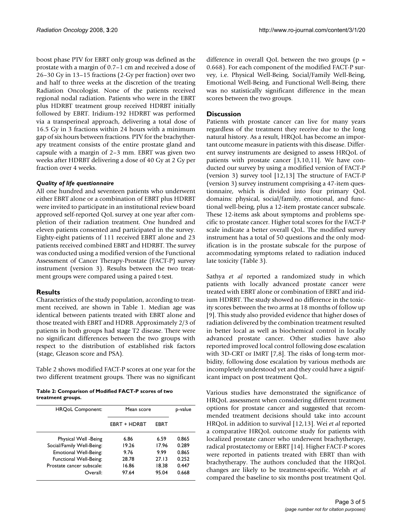boost phase PTV for EBRT only group was defined as the prostate with a margin of 0.7–1 cm and received a dose of 26–30 Gy in 13–15 fractions (2-Gy per fraction) over two and half to three weeks at the discretion of the treating Radiation Oncologist. None of the patients received regional nodal radiation. Patients who were in the EBRT plus HDRBT treatment group received HDRBT initially followed by EBRT. Iridium-192 HDRBT was performed via a transperineal approach, delivering a total dose of 16.5 Gy in 3 fractions within 24 hours with a minimum gap of six hours between fractions. PTV for the brachytherapy treatment consists of the entire prostate gland and capsule with a margin of 2–3 mm. EBRT was given two weeks after HDRBT delivering a dose of 40 Gy at 2 Gy per fraction over 4 weeks.

# *Quality of life questionnaire*

All one hundred and seventeen patients who underwent either EBRT alone or a combination of EBRT plus HDRBT were invited to participate in an institutional review board approved self-reported QoL survey at one year after completion of their radiation treatment. One hundred and eleven patients consented and participated in the survey. Eighty-eight patients of 111 received EBRT alone and 23 patients received combined EBRT and HDRBT. The survey was conducted using a modified version of the Functional Assessment of Cancer Therapy-Prostate (FACT-P) survey instrument (version 3). Results between the two treatment groups were compared using a paired t-test.

# **Results**

Characteristics of the study population, according to treatment received, are shown in Table 1. Median age was identical between patients treated with EBRT alone and those treated with EBRT and HDRB. Approximately 2/3 of patients in both groups had stage T2 disease. There were no significant differences between the two groups with respect to the distribution of established risk factors (stage, Gleason score and PSA).

Table 2 shows modified FACT-P scores at one year for the two different treatment groups. There was no significant

**Table 2: Comparison of Modified FACT-P scores of two treatment groups.**

| <b>HRQoL Component:</b>   | Mean score          |       | p-value |  |  |
|---------------------------|---------------------|-------|---------|--|--|
|                           | <b>FRRT + HDRRT</b> | EBRT  |         |  |  |
| Physical Well -Being      | 6.86                | 6.59  | 0.865   |  |  |
| Social/Family Well-Being: | 19.26               | 17.96 | 0.289   |  |  |
| Emotional Well-Being:     | 9.76                | 9.99  | 0.865   |  |  |
| Functional Well-Being:    | 28.78               | 27.13 | 0.252   |  |  |
| Prostate cancer subscale: | 16.86               | 18.38 | 0.447   |  |  |
| Overall:                  | 97.64               | 95.04 | 0.668   |  |  |

difference in overall OoL between the two groups  $(p =$ 0.668). For each component of the modified FACT-P survey, i.e. Physical Well-Being, Social/Family Well-Being, Emotional Well-Being, and Functional Well-Being, there was no statistically significant difference in the mean scores between the two groups.

# **Discussion**

Patients with prostate cancer can live for many years regardless of the treatment they receive due to the long natural history. As a result, HRQoL has become an important outcome measure in patients with this disease. Different survey instruments are designed to assess HRQoL of patients with prostate cancer [3,10,11]. We have conducted our survey by using a modified version of FACT-P (version 3) survey tool [12,13] The structure of FACT-P (version 3) survey instrument comprising a 47-item questionnaire, which is divided into four primary QoL domains: physical, social/family, emotional, and functional well-being, plus a 12-item prostate cancer subscale. These 12-items ask about symptoms and problems specific to prostate cancer. Higher total scores for the FACT-P scale indicate a better overall QoL. The modified survey instrument has a total of 50 questions and the only modification is in the prostate subscale for the purpose of accommodating symptoms related to radiation induced late toxicity (Table 3).

Sathya *et al* reported a randomized study in which patients with locally advanced prostate cancer were treated with EBRT alone or combination of EBRT and iridium HDRBT. The study showed no difference in the toxicity scores between the two arms at 18 months of follow up [9]. This study also provided evidence that higher doses of radiation delivered by the combination treatment resulted in better local as well as biochemical control in locally advanced prostate cancer. Other studies have also reported improved local control following dose escalation with 3D-CRT or IMRT [7,8]. The risks of long-term morbidity, following dose escalation by various methods are incompletely understood yet and they could have a significant impact on post treatment QoL.

Various studies have demonstrated the significance of HRQoL assessment when considering different treatment options for prostate cancer and suggested that recommended treatment decisions should take into account HRQoL in addition to survival [12,13]. Wei *et al* reported a comparative HRQoL outcome study for patients with localized prostate cancer who underwent brachytherapy, radical prostatectomy or EBRT [14]. Higher FACT-P scores were reported in patients treated with EBRT than with brachytherapy. The authors concluded that the HRQoL changes are likely to be treatment-specific. Welsh *et al* compared the baseline to six months post treatment QoL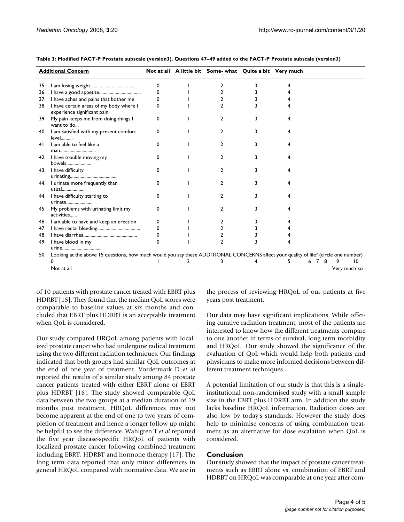|     | <b>Additional Concern</b>                                                                                                            |          | Not at all A little bit Some- what Quite a bit Very much |  |  |   |              |  |
|-----|--------------------------------------------------------------------------------------------------------------------------------------|----------|----------------------------------------------------------|--|--|---|--------------|--|
| 35. |                                                                                                                                      | 0        | 2                                                        |  |  |   |              |  |
| 36. |                                                                                                                                      | $\Omega$ |                                                          |  |  |   |              |  |
| 37. | I have aches and pains that bother me                                                                                                | 0        |                                                          |  |  |   |              |  |
| 38. | I have certain areas of my body where I<br>experience significant pain                                                               | O        |                                                          |  |  |   |              |  |
|     | 39. My pain keeps me from doing things I<br>want to do                                                                               | 0        | 2                                                        |  |  |   |              |  |
|     | 40. I am satisfied with my present comfort<br>level                                                                                  | 0        | 2                                                        |  |  |   |              |  |
|     | 41. I am able to feel like a<br>man                                                                                                  | $\Omega$ | 2                                                        |  |  |   |              |  |
|     | 42. I have trouble moving my<br>bowels                                                                                               | 0        | 2                                                        |  |  |   |              |  |
|     | 43. I have difficulty                                                                                                                | $\Omega$ | 2                                                        |  |  |   |              |  |
|     | 44. I urinate more frequently than<br>usual                                                                                          | 0        | 2                                                        |  |  |   |              |  |
|     | 44. I have difficulty starting to<br>urinate                                                                                         | $\Omega$ | 2                                                        |  |  |   |              |  |
|     | 45. My problems with urinating limit my<br>activities                                                                                | 0        | 2                                                        |  |  |   |              |  |
| 46  | I am able to have and keep an erection                                                                                               | 0        |                                                          |  |  |   |              |  |
| 47. |                                                                                                                                      | 0        |                                                          |  |  |   |              |  |
| 48. |                                                                                                                                      | 0        |                                                          |  |  |   |              |  |
|     | 49. I have blood in my<br>urine                                                                                                      | 0        | $\mathfrak{p}$                                           |  |  |   |              |  |
| 50. | Looking at the above 15 questions, how much would you say these ADDITIONAL CONCERNS affect your quality of life? (circle one number) |          |                                                          |  |  |   |              |  |
|     |                                                                                                                                      |          | 3                                                        |  |  | 8 | 10           |  |
|     | Not at all                                                                                                                           |          |                                                          |  |  |   | Very much so |  |

**Table 3: Modified FACT-P Prostate subscale (version3). Questions 47–49 added to the FACT-P Prostate subscale (version3)**

of 10 patients with prostate cancer treated with EBRT plus HDRBT [15]. They found that the median QoL scores were comparable to baseline values at six months and concluded that EBRT plus HDRBT is an acceptable treatment when QoL is considered.

Our study compared HRQoL among patients with localized prostate cancer who had undergone radical treatment using the two different radiation techniques. Our findings indicated that both groups had similar QoL outcomes at the end of one year of treatment. Vordermark D *et al* reported the results of a similar study among 84 prostate cancer patients treated with either EBRT alone or EBRT plus HDRBT [16]. The study showed comparable QoL data between the two groups at a median duration of 19 months post treatment. HRQoL differences may not become apparent at the end of one to two years of completion of treatment and hence a longer follow up might be helpful to see the difference. Wahlgren T *et al* reported the five year disease-specific HRQoL of patients with localized prostate cancer following combined treatment including EBRT, HDRBT and hormone therapy [17]. The long term data reported that only minor differences in general HRQoL compared with normative data. We are in the process of reviewing HRQoL of our patients at five years post treatment.

Our data may have significant implications. While offering curative radiation treatment, most of the patients are interested to know how the different treatments compare to one another in terms of survival, long term morbidity and HRQoL. Our study showed the significance of the evaluation of QoL which would help both patients and physicians to make more informed decisions between different treatment techniques.

A potential limitation of our study is that this is a singleinstitutional non-randomised study with a small sample size in the EBRT plus HDRBT arm. In addition the study lacks baseline HRQoL information. Radiation doses are also low by today's standards. However the study does help to minimise concerns of using combination treatment as an alternative for dose escalation when QoL is considered.

# **Conclusion**

Our study showed that the impact of prostate cancer treatments such as EBRT alone vs. combination of EBRT and HDRBT on HRQoL was comparable at one year after com-